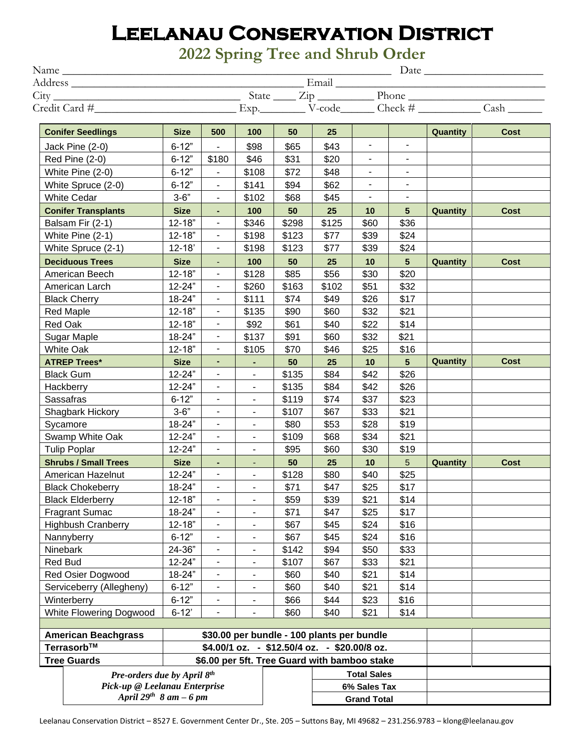## **Leelanau Conservation District**

**2022 Spring Tree and Shrub Order**

| Name          |                          |             |     |                | Date |                           |   |           |          |             |  |  |
|---------------|--------------------------|-------------|-----|----------------|------|---------------------------|---|-----------|----------|-------------|--|--|
| Address       |                          |             |     | Email          |      |                           |   |           |          |             |  |  |
| City          |                          |             |     | State          |      | $\overline{\mathrm{Lip}}$ |   | Phone     |          |             |  |  |
| Credit Card # |                          |             |     | Exp.<br>V-code |      |                           |   | Check $#$ |          | Cash        |  |  |
|               | <b>Conifer Seedlings</b> | <b>Size</b> | 500 | 100            | 50   | 25                        |   |           | Quantity | <b>Cost</b> |  |  |
|               | Jack Pine (2-0)          | $6 - 12"$   | ۰   | \$98           | \$65 | \$43                      | ۰ |           |          |             |  |  |

|                                                                    | oonnor oodaniiga              | <u>unu</u>  | uuv                      | $\sim$                       | $\mathbf{v}$ | $\sim$             |                          |                          | <b>GUULILILY</b> | ovu         |
|--------------------------------------------------------------------|-------------------------------|-------------|--------------------------|------------------------------|--------------|--------------------|--------------------------|--------------------------|------------------|-------------|
| Jack Pine (2-0)                                                    |                               | $6 - 12"$   |                          | \$98                         | \$65         | \$43               | $\overline{\phantom{0}}$ |                          |                  |             |
| <b>Red Pine (2-0)</b>                                              |                               | $6 - 12"$   | \$180                    | \$46                         | \$31         | \$20               | $\overline{\phantom{a}}$ | $\blacksquare$           |                  |             |
| White Pine (2-0)                                                   |                               | $6 - 12"$   | $\overline{\phantom{0}}$ | \$108                        | \$72         | \$48               | $\overline{\phantom{a}}$ | $\overline{\phantom{0}}$ |                  |             |
| White Spruce (2-0)                                                 |                               | $6 - 12"$   | $\blacksquare$           | \$141                        | \$94         | \$62               | $\blacksquare$           | $\overline{\phantom{a}}$ |                  |             |
|                                                                    | <b>White Cedar</b>            |             |                          | \$102                        | \$68         | \$45               |                          |                          |                  |             |
|                                                                    | <b>Conifer Transplants</b>    | <b>Size</b> | $\blacksquare$           | 100                          | 50           | 25                 | 10                       | 5 <sup>5</sup>           | Quantity         | <b>Cost</b> |
|                                                                    | Balsam Fir (2-1)              | $12 - 18"$  | $\blacksquare$           | \$346                        | \$298        | \$125              | \$60                     | \$36                     |                  |             |
| White Pine (2-1)                                                   |                               | $12 - 18"$  | ÷                        | \$198                        | \$123        | \$77               | \$39                     | \$24                     |                  |             |
| White Spruce (2-1)                                                 |                               | $12 - 18'$  | ۰                        | \$198                        | \$123        | \$77               | \$39                     | \$24                     |                  |             |
|                                                                    | <b>Deciduous Trees</b>        | <b>Size</b> | ٠                        | 100                          | 50           | 25                 | 10                       | $5\phantom{.0}$          | Quantity         | <b>Cost</b> |
| American Beech                                                     |                               | $12 - 18"$  | $\blacksquare$           | \$128                        | \$85         | \$56               | \$30                     | \$20                     |                  |             |
| American Larch                                                     |                               | 12-24"      | $\blacksquare$           | \$260                        | \$163        | \$102              | \$51                     | \$32                     |                  |             |
| <b>Black Cherry</b>                                                |                               | 18-24"      | ۰                        | \$111                        | \$74         | \$49               | \$26                     | \$17                     |                  |             |
|                                                                    | <b>Red Maple</b>              | $12 - 18"$  | ۰                        | \$135                        | \$90         | \$60               | \$32                     | \$21                     |                  |             |
|                                                                    | Red Oak                       | $12 - 18"$  | $\blacksquare$           | \$92                         | \$61         | \$40               | \$22                     | \$14                     |                  |             |
|                                                                    | Sugar Maple                   | 18-24"      | $\blacksquare$           | \$137                        | \$91         | \$60               | \$32                     | \$21                     |                  |             |
| <b>White Oak</b>                                                   |                               | $12 - 18"$  | $\blacksquare$           | \$105                        | \$70         | \$46               | \$25                     | \$16                     |                  |             |
| <b>ATREP Trees*</b>                                                |                               | <b>Size</b> | ٠                        | ۰                            | 50           | 25                 | 10                       | 5                        | Quantity         | Cost        |
|                                                                    | <b>Black Gum</b>              | 12-24"      | ۰                        | $\qquad \qquad \blacksquare$ | \$135        | \$84               | \$42                     | \$26                     |                  |             |
| Hackberry                                                          |                               | 12-24"      | $\blacksquare$           | $\overline{\phantom{0}}$     | \$135        | \$84               | \$42                     | \$26                     |                  |             |
| Sassafras                                                          |                               | $6 - 12"$   | $\blacksquare$           | $\qquad \qquad \blacksquare$ | \$119        | \$74               | \$37                     | \$23                     |                  |             |
| Shagbark Hickory                                                   |                               | $3 - 6"$    | $\blacksquare$           | $\qquad \qquad \blacksquare$ | \$107        | \$67               | \$33                     | \$21                     |                  |             |
| Sycamore                                                           |                               | 18-24"      | $\blacksquare$           | -                            | \$80         | \$53               | \$28                     | \$19                     |                  |             |
| Swamp White Oak                                                    |                               | 12-24"      | $\blacksquare$           | ۰                            | \$109        | \$68               | \$34                     | \$21                     |                  |             |
| <b>Tulip Poplar</b>                                                |                               | 12-24"      | ۰                        | ٠                            | \$95         | \$60               | \$30                     | \$19                     |                  |             |
| <b>Shrubs / Small Trees</b>                                        |                               | <b>Size</b> | $\blacksquare$           | ٠                            | 50           | 25                 | 10                       | 5                        | Quantity         | <b>Cost</b> |
| American Hazelnut                                                  |                               | 12-24"      | ۰                        | ÷,                           | \$128        | \$80               | \$40                     | \$25                     |                  |             |
| <b>Black Chokeberry</b>                                            |                               | 18-24"      | ۰                        | $\overline{\phantom{0}}$     | \$71         | \$47               | \$25                     | \$17                     |                  |             |
| <b>Black Elderberry</b>                                            |                               | $12 - 18"$  | $\blacksquare$           | $\qquad \qquad \blacksquare$ | \$59         | \$39               | \$21                     | \$14                     |                  |             |
| <b>Fragrant Sumac</b>                                              |                               | 18-24"      | $\overline{\phantom{a}}$ | ÷,                           | \$71         | \$47               | \$25                     | \$17                     |                  |             |
|                                                                    | <b>Highbush Cranberry</b>     | $12 - 18"$  | $\blacksquare$           | $\qquad \qquad \blacksquare$ | \$67         | \$45               | \$24                     | \$16                     |                  |             |
|                                                                    | Nannyberry                    | $6 - 12"$   | $\blacksquare$           | ÷,                           | \$67         | \$45               | \$24                     | \$16                     |                  |             |
| Ninebark                                                           |                               | 24-36"      | ۰                        | ۰                            | \$142        | \$94               | \$50                     | \$33                     |                  |             |
| <b>Red Bud</b>                                                     |                               | 12-24"      | $\blacksquare$           | $\qquad \qquad \blacksquare$ | \$107        | \$67               | \$33                     | \$21                     |                  |             |
| Red Osier Dogwood                                                  |                               | 18-24"      | ÷,                       | ÷,                           | \$60         | \$40               | \$21                     | \$14                     |                  |             |
| Serviceberry (Allegheny)                                           |                               | $6 - 12"$   | $\blacksquare$           | ٠                            | \$60         | \$40               | \$21                     | \$14                     |                  |             |
| Winterberry                                                        |                               | $6 - 12"$   | ۰                        |                              | \$66         | \$44               | \$23                     | \$16                     |                  |             |
| White Flowering Dogwood                                            |                               | $6 - 12'$   | ۰                        | -                            | \$60         | \$40               | \$21                     | \$14                     |                  |             |
| \$30.00 per bundle - 100 plants per bundle                         |                               |             |                          |                              |              |                    |                          |                          |                  |             |
| <b>American Beachgrass</b>                                         |                               |             |                          |                              |              |                    |                          |                          |                  |             |
| Terrasorb™<br>\$4.00/1 oz. - \$12.50/4 oz. - \$20.00/8 oz.         |                               |             |                          |                              |              |                    |                          |                          |                  |             |
| <b>Tree Guards</b><br>\$6.00 per 5ft. Tree Guard with bamboo stake |                               |             |                          |                              |              |                    |                          |                          |                  |             |
| Pre-orders due by April 8th                                        |                               |             |                          |                              |              | <b>Total Sales</b> |                          |                          |                  |             |
|                                                                    | Pick-up @ Leelanau Enterprise |             |                          |                              |              | 6% Sales Tax       |                          |                          |                  |             |
|                                                                    | April $29^{th}$ 8 am – 6 pm   |             |                          |                              |              | <b>Grand Total</b> |                          |                          |                  |             |

Leelanau Conservation District – 8527 E. Government Center Dr., Ste. 205 – Suttons Bay, MI 49682 – 231.256.9783 – klong@leelanau.gov